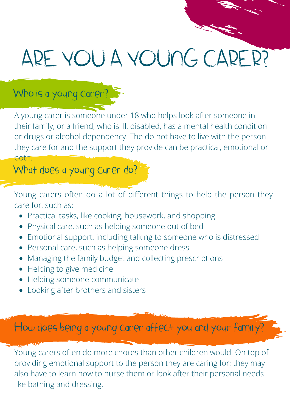# ARE YOU A YOUNG CARER?

## Who is a young carer?

A young carer is someone under 18 who helps look after someone in their family, or a friend, who is ill, disabled, has a mental health condition or drugs or alcohol dependency. The do not have to live with the person they care for and the support they provide can be practical, emotional or both.

What does a young carer do?

Young carers often do a lot of different things to help the person they care for, such as:

- Practical tasks, like cooking, housework, and shopping
- Physical care, such as helping someone out of bed
- Emotional support, including talking to someone who is distressed
- Personal care, such as helping someone dress
- Managing the family budget and collecting prescriptions
- Helping to give medicine
- Helping someone communicate
- Looking after brothers and sisters

How does being a young carer affect you and your family?

Young carers often do more chores than other children would. On top of providing emotional support to the person they are caring for; they may also have to learn how to nurse them or look after their personal needs like bathing and dressing.